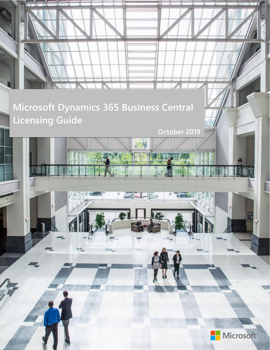

医反尾

**October 2019**

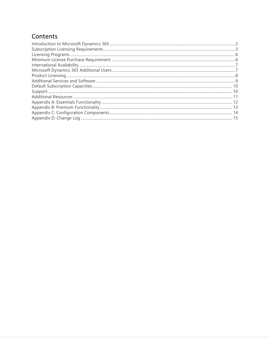### Contents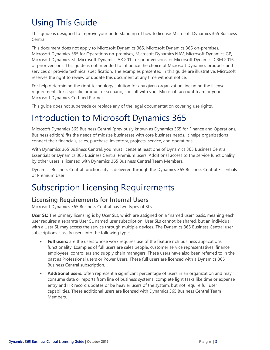## Using This Guide

This guide is designed to improve your understanding of how to license Microsoft Dynamics 365 Business Central.

This document does not apply to Microsoft Dynamics 365, Microsoft Dynamics 365 on-premises, Microsoft Dynamics 365 for Operations on-premises, Microsoft Dynamics NAV, Microsoft Dynamics GP, Microsoft Dynamics SL, Microsoft Dynamics AX 2012 or prior versions, or Microsoft Dynamics CRM 2016 or prior versions. This guide is not intended to influence the choice of Microsoft Dynamics products and services or provide technical specification. The examples presented in this guide are illustrative. Microsoft reserves the right to review or update this document at any time without notice.

For help determining the right technology solution for any given organization, including the license requirements for a specific product or scenario, consult with your Microsoft account team or your Microsoft Dynamics Certified Partner.

This guide does not supersede or replace any of the legal documentation covering use rights.

## <span id="page-2-0"></span>Introduction to Microsoft Dynamics 365

Microsoft Dynamics 365 Business Central (previously known as Dynamics 365 for Finance and Operations, Business edition) fits the needs of midsize businesses with core business needs. It helps organizations connect their financials, sales, purchase, inventory, projects, service, and operations.

With Dynamics 365 Business Central, you must license at least one of Dynamics 365 Business Central Essentials or Dynamics 365 Business Central Premium users. Additional access to the service functionality by other users is licensed with Dynamics 365 Business Central Team Members.

Dynamics Business Central functionality is delivered through the Dynamics 365 Business Central Essentials or Premium User.

### <span id="page-2-1"></span>Subscription Licensing Requirements

#### **Licensing Requirements for Internal Users**

Microsoft Dynamics 365 Business Central has two types of SLs:

**User SL:** The primary licensing is by User SLs, which are assigned on a "named user" basis, meaning each user requires a separate User SL named user subscription. User SLs cannot be shared, but an individual with a User SL may access the service through multiple devices. The Dynamics 365 Business Central user subscriptions classify users into the following types:

- **Full users:** are the users whose work requires use of the feature rich business applications functionality. Examples of full users are sales people, customer service representatives, finance employees, controllers and supply chain managers. These users have also been referred to in the past as Professional users or Power Users. These full users are licensed with a Dynamics 365 Business Central subscription.
- **Additional users:** often represent a significant percentage of users in an organization and may consume data or reports from line of business systems, complete light tasks like time or expense entry and HR record updates or be heavier users of the system, but not require full user capabilities. These additional users are licensed with Dynamics 365 Business Central Team Members.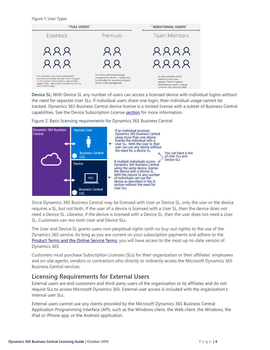#### Figure 1: User Types



**Device SL:** With Device SL any number of users can access a licensed device with individual logins without the need for separate User SLs. If individual users share one login, their individual usage cannot be tracked. Dynamics 365 Business Central device license is a limited license with a subset of Business Central capabilities. See the Device Subscription License **[section](#page-6-2)** for more information.



Figure 2: Basic licensing requirements for Dynamics 365 Business Central

Since Dynamics 365 Business Central may be licensed with User or Device SL, only the user or the device requires a SL, but not both. If the user of a device is licensed with a User SL, then the device does not need a Device SL. Likewise, if the device is licensed with a Device SL, then the user does not need a User SL. Customers can mix both User and Device SLs.

The User and Device SL grants users non-perpetual rights (with no buy-out rights) to the use of the Dynamics 365 service. As long as you are current on your subscription payments and adhere to the [Product Terms and the Online Service Terms](https://www.microsoft.com/en-us/Licensing/product-licensing/products.aspx), you will have access to the most up-to-date version of Dynamics 365.

Customers must purchase Subscription Licenses (SLs) for their organization or their affiliates' employees and on-site agents, vendors or contractors who directly or indirectly access the Microsoft Dynamics 365 Business Central services.

#### **Licensing Requirements for External Users**

External users are end customers and third-party users of the organization or its affiliates and do not require SLs to access Microsoft Dynamics 365. External user access is included with the organization's internal user SLs.

External users cannot use any clients provided by the Microsoft Dynamics 365 Business Central Application Programming Interface (API), such as the Windows client, the Web client, the Windows, the iPad or iPhone app, or the Android application.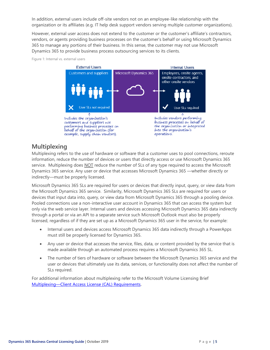In addition, external users include off-site vendors not on an employee-like relationship with the organization or its affiliates (e.g. IT help desk support vendors serving multiple customer organizations).

However, external user access does not extend to the customer or the customer's affiliate's contractors, vendors, or agents providing business processes on the customer's behalf or using Microsoft Dynamics 365 to manage any portions of their business. In this sense, the customer may not use Microsoft Dynamics 365 to provide business process outsourcing services to its clients.

Figure 1: Internal vs. external users



#### **Multiplexing**

Multiplexing refers to the use of hardware or software that a customer uses to pool connections, reroute information, reduce the number of devices or users that directly access or use Microsoft Dynamics 365 service. Multiplexing does NOT reduce the number of SLs of any type required to access the Microsoft Dynamics 365 service. Any user or device that accesses Microsoft Dynamics 365 —whether directly or indirectly—must be properly licensed.

Microsoft Dynamics 365 SLs are required for users or devices that directly input, query, or view data from the Microsoft Dynamics 365 service. Similarity, Microsoft Dynamics 365 SLs are required for users or devices that input data into, query, or view data from Microsoft Dynamics 365 through a pooling device. Pooled connections use a non-interactive user account in Dynamics 365 that can access the system but only via the web service layer. Internal users and devices accessing Microsoft Dynamics 365 data indirectly through a portal or via an API to a separate service such Microsoft Outlook must also be properly licensed, regardless of if they are set up as a Microsoft Dynamics 365 user in the service, for example:

- Internal users and devices access Microsoft Dynamics 365 data indirectly through a PowerApps must still be properly licensed for Dynamics 365.
- Any user or device that accesses the service, files, data, or content provided by the service that is made available through an automated process requires a Microsoft Dynamics 365 SL.
- The number of tiers of hardware or software between the Microsoft Dynamics 365 service and the user or devices that ultimately use its data, services, or functionality does not affect the number of SLs required.

For additional information about multiplexing refer to the Microsoft Volume Licensing Brief Multiplexing—[Client Access License \(CAL\) Requirements.](http://download.microsoft.com/download/8/7/3/8733d036-92b0-4cb8-8912-3b6ab966b8b2/multiplexing.pdf)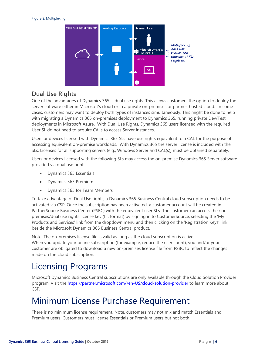

#### **Dual Use Rights**

One of the advantages of Dynamics 365 is dual use rights. This allows customers the option to deploy the server software either in Microsoft's cloud or in a private on-premises or partner-hosted cloud. In some cases, customers may want to deploy both types of instances simultaneously. This might be done to help with migrating a Dynamics 365 on-premises deployment to Dynamics 365, running private Dev/Test deployments in Microsoft Azure. With Dual Use Rights, Dynamics 365 users licensed with the required User SL do not need to acquire CALs to access Server instances.

Users or devices licensed with Dynamics 365 SLs have use rights equivalent to a CAL for the purpose of accessing equivalent on-premise workloads. With Dynamics 365 the server license is included with the SLs. Licenses for all supporting servers (e.g., Windows Server and CAL(s)) must be obtained separately.

Users or devices licensed with the following SLs may access the on-premise Dynamics 365 Server software provided via dual use rights:

- Dynamics 365 Essentials
- Dynamics 365 Premium
- Dynamics 365 for Team Members

To take advantage of Dual Use rights, a Dynamics 365 Business Central cloud subscription needs to be activated via CSP. Once the subscription has been activated, a customer account will be created in PartnerSource Business Center (PSBC) with the equivalent user SLs. The customer can access their onpremises/dual use rights license key (flf. format) by signing in to CustomerSource, selecting the 'My Products and Services' link from the dropdown menu and then clicking on the 'Registration Keys' link beside the Microsoft Dynamics 365 Business Central product.

Note: The on-premises license file is valid as long as the cloud subscription is active. When you update your online subscription (for example, reduce the user count), you and/or your customer are obligated to download a new on-premises license file from PSBC to reflect the changes made on the cloud subscription.

### <span id="page-5-0"></span>Licensing Programs

Microsoft Dynamics Business Central subscriptions are only available through the Cloud Solution Provider program. Visit the [https://partner.microsoft.com//en-US/cloud-solution-provider](https://partner.microsoft.com/en-US/cloud-solution-provider) to learn more about CSP.

### <span id="page-5-1"></span>Minimum License Purchase Requirement

There is no minimum license requirement. Note, customers may not mix and match Essentials and Premium users. Customers must license Essentials or Premium users but not both.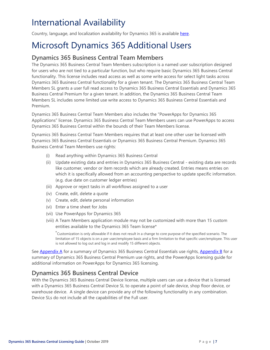## <span id="page-6-0"></span>International Availability

Country, language, and localization availability for Dynamics 365 is available [here.](https://aka.ms/dynamics_365_international_availability_deck)

## <span id="page-6-1"></span>Microsoft Dynamics 365 Additional Users

### **Dynamics 365 Business Central Team Members**

The Dynamics 365 Business Central Team Members subscription is a named user subscription designed for users who are not tied to a particular function, but who require basic Dynamics 365 Business Central functionality. This license includes read access as well as some write access for select light tasks across Dynamics 365 Business Central functionality for a given tenant. The Dynamics 365 Business Central Team Members SL grants a user full read access to Dynamics 365 Business Central Essentials and Dynamics 365 Business Central Premium for a given tenant. In addition, the Dynamics 365 Business Central Team Members SL includes some limited use write access to Dynamics 365 Business Central Essentials and Premium.

Dynamics 365 Business Central Team Members also includes the "PowerApps for Dynamics 365 Applications" license. Dynamics 365 Business Central Team Members users can use PowerApps to access Dynamics 365 Business Central within the bounds of their Team Members license.

Dynamics 365 Business Central Team Members requires that at least one other user be licensed with Dynamics 365 Business Central Essentials or Dynamics 365 Business Central Premium. Dynamics 365 Business Central Team Members use rights:

- (i) Read anything within Dynamics 365 Business Central
- (ii) Update existing data and entries in Dynamics 365 Business Central existing data are records like customer, vendor or item records which are already created. Entries means entries on which it is specifically allowed from an accounting perspective to update specific information. (e.g. due date on customer ledger entries)
- (iii) Approve or reject tasks in all workflows assigned to a user
- (iv) Create, edit, delete a quote
- (v) Create, edit, delete personal information
- (vi) Enter a time sheet for Jobs
- (vii) Use PowerApps for Dynamics 365
- (viii) A Team Members application module may not be customized with more than 15 custom entities available to the Dynamics 365 Team license\*

\*Customization is only allowable if it does not result in a change to core purpose of the specified scenario. The limitation of 15 objects is on a per user/employee basis and a firm limitation to that specific user/employee. This user is not allowed to log out and log in and modify 15 different objects.

See [Appendix A](#page-10-1) for a summary of Dynamics 365 Business Central Essentials use rights, [Appendix B](#page-12-0) for a summary of Dynamics 365 Business Central Premium use rights, and the PowerApps licensing guide for additional information on PowerApps for Dynamics 365 licensing.

#### <span id="page-6-2"></span>**Dynamics 365 Business Central Device**

With the Dynamics 365 Business Central Device license, multiple users can use a device that is licensed with a Dynamics 365 Business Central Device SL to operate a point of sale device, shop floor device, or warehouse device. A single device can provide any of the following functionality in any combination. Device SLs do not include all the capabilities of the Full user.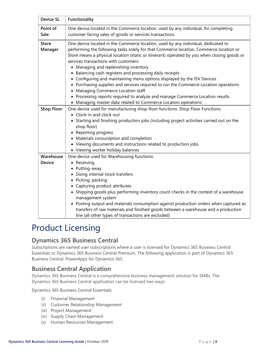| <b>Device SL</b>           | Functionality                                                                                                                                                                                                                                                                                                                                                                                                                                                                                                                                                                                                                                                                                                                                                                       |
|----------------------------|-------------------------------------------------------------------------------------------------------------------------------------------------------------------------------------------------------------------------------------------------------------------------------------------------------------------------------------------------------------------------------------------------------------------------------------------------------------------------------------------------------------------------------------------------------------------------------------------------------------------------------------------------------------------------------------------------------------------------------------------------------------------------------------|
| Point of<br>Sale           | One device located in the Commerce location, used by any individual, for completing<br>customer facing sales of goods or services transactions                                                                                                                                                                                                                                                                                                                                                                                                                                                                                                                                                                                                                                      |
| <b>Store</b><br>Manager    | One device located in the Commerce location, used by any individual, dedicated to<br>performing the following tasks solely for that Commerce location. Commerce location or<br>Store means a physical location (static or itinerant) operated by you when closing goods or<br>services transactions with customers:<br>• Managing and replenishing inventory<br>• Balancing cash registers and processing daily receipts<br>• Configuring and maintaining menu options displayed by the ISV Devices<br>• Purchasing supplies and services required to run the Commerce Location operations<br>• Managing Commerce Location staff<br>• Processing reports required to analyze and manage Commerce Location results<br>• Managing master data related to Commerce Location operations |
| <b>Shop Floor</b>          | One device used for manufacturing shop-floor functions. Shop Floor Functions:<br>• Clock-in and clock-out<br>• Starting and finishing production jobs (including project activities carried out on the<br>shop floor)<br>• Reporting progress<br>• Materials consumption and completion<br>• Viewing documents and instructions related to production jobs<br>• Viewing worker holiday balances                                                                                                                                                                                                                                                                                                                                                                                     |
| Warehouse<br><b>Device</b> | One device used for Warehousing functions:<br>• Receiving<br>• Putting-away<br>• Doing internal stock transfers<br>· Picking, packing<br>• Capturing product attributes<br>• Shipping goods plus performing inventory count checks in the context of a warehouse<br>management system<br>• Posting output and materials consumption against production orders when captured as<br>transfers of raw materials and finished goods between a warehouse and a production<br>line (all other types of transactions are excluded)                                                                                                                                                                                                                                                         |

### <span id="page-7-0"></span>Product Licensing

#### **Dynamics 365 Business Central**

Subscriptions are named user subscriptions where a user is licensed for Dynamics 365 Business Central Essentials or Dynamics 365 Business Central Premium. The following application is part of Dynamics 365 Business Central: PowerApps for Dynamics 365.

#### **Business Central Application**

Dynamics 365 Business Central is a comprehensive business management solution for SMBs. The Dynamics 365 Business Central application can be licensed two ways:

Dynamics 365 Business Central Essentials:

- (i) Financial Management
- (ii) Customer Relationship Management
- (iii) Project Management
- (iv) Supply Chain Management
- (v) Human Resources Management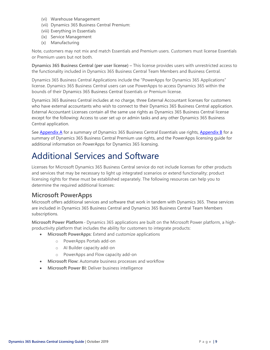- (vi) Warehouse Management
- (vii) Dynamics 365 Business Central Premium:
- (viii) Everything in Essentials
- (ix) Service Management
- (x) Manufacturing

Note, customers may not mix and match Essentials and Premium users. Customers must license Essentials or Premium users but not both.

**Dynamics 365 Business Central (per user license) –** This license provides users with unrestricted access to the functionality included in Dynamics 365 Business Central Team Members and Business Central.

Dynamics 365 Business Central Applications include the "PowerApps for Dynamics 365 Applications" license. Dynamics 365 Business Central users can use PowerApps to access Dynamics 365 within the bounds of their Dynamics 365 Business Central Essentials or Premium license.

Dynamics 365 Business Central includes at no charge, three External Accountant licenses for customers who have external accountants who wish to connect to their Dynamics 365 Business Central application. External Accountant Licenses contain all the same use rights as Dynamics 365 Business Central license except for the following: Access to user set up or admin tasks and any other Dynamics 365 Business Central application.

See [Appendix A](#page-10-1) for a summary of Dynamics 365 Business Central Essentials use rights, [Appendix B](#page-12-0) for a summary of Dynamics 365 Business Central Premium use rights, and the PowerApps licensing guide for additional information on PowerApps for Dynamics 365 licensing.

### <span id="page-8-0"></span>Additional Services and Software

Licenses for Microsoft Dynamics 365 Business Central service do not include licenses for other products and services that may be necessary to light up integrated scenarios or extend functionality; product licensing rights for these must be established separately. The following resources can help you to determine the required additional licenses:

#### **Microsoft PowerApps**

Microsoft offers additional services and software that work in tandem with Dynamics 365. These services are included in Dynamics 365 Business Central and Dynamics 365 Business Central Team Members subscriptions.

**Microsoft Power Platform** - Dynamics 365 applications are built on the Microsoft Power platform, a highproductivity platform that includes the ability for customers to integrate products:

- **Microsoft PowerApps**: Extend and customize applications
	- o PowerApps Portals add-on
	- o AI Builder capacity add-on
	- o PowerApps and Flow capacity add-on
- **Microsoft Flow:** Automate business processes and workflow
- **Microsoft Power BI:** Deliver business intelligence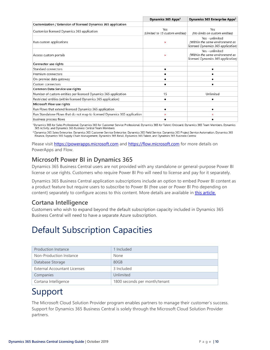|                                                                           | Dynamics 365 Apps <sup>1</sup>  | Dynamics 365 Enterprise Apps <sup>2</sup>                                                |
|---------------------------------------------------------------------------|---------------------------------|------------------------------------------------------------------------------------------|
| Customization / Extension of licensed Dynamics 365 application            |                                 |                                                                                          |
|                                                                           | Yes                             | Yes                                                                                      |
| Customize licensed Dynamics 365 application                               | (Limited to 15 custom entities) | (No limits on custom entities)                                                           |
| Run custom applications                                                   | ×                               | Yes - unlimited<br>(Within the same environment as<br>licensed Dynamics 365 application) |
| Access custom portals                                                     | $\boldsymbol{\mathsf{x}}$       | Yes - unlimited<br>(Within the same environment as<br>licensed Dynamics 365 application) |
| Connector use rights                                                      |                                 |                                                                                          |
| Standard connectors                                                       |                                 |                                                                                          |
| Premium connectors                                                        |                                 |                                                                                          |
| On-premise data gateway                                                   |                                 |                                                                                          |
| Custom connectors                                                         |                                 |                                                                                          |
| Common Data Service use rights                                            |                                 |                                                                                          |
| Number of custom entities per licensed Dynamics 365 application           | 15                              | Unlimited                                                                                |
| Restricted entities (within licensed Dynamics 365 application)            |                                 |                                                                                          |
| Microsoft Flow use rights                                                 |                                 |                                                                                          |
| Run Flows that extend licensed Dynamics 365 application                   | ٠                               | ٠                                                                                        |
| Run Standalone Flows that do not map to licensed Dynamics 365 application | ×                               | $\mathbf x$                                                                              |
| Business process flows                                                    |                                 |                                                                                          |

<sup>1</sup>Dynamics 365 for Sales Professional, Dynamics 365 for Customer Service Professional, Dynamics 365 for Talent: Onboard, Dynamics 365 Team Members, Dynamics 365 Activity, and Dynamics 365 Business Central Team Members

<sup>2</sup> Dynamics 365 Sales Enterprise, Dynamics 365 Customer Service Enterprise, Dynamics 365 Field Service, Dynamics 365 Project Service Automation, Dynamics 365 Finance, Dynamics 365 Supply Chain Management, Dynamics 365 Retail, Dynamics 365 Talent, and Dynamics 365 Business Central

Please visit [https://powerapps.microsoft.com](https://powerapps.microsoft.com/) and [https://flow.microsoft.com](https://flow.microsoft.com/) for more details on PowerApps and Flow.

### **Microsoft Power BI in Dynamics 365**

Dynamics 365 Business Central users are not provided with any standalone or general-purpose Power BI license or use rights. Customers who require Power BI Pro will need to license and pay for it separately.

Dynamics 365 Business Central application subscriptions include an option to embed Power BI content as a product feature but require users to subscribe to Power BI (free user or Power BI Pro depending on content) separately to configure access to this content. More details are available in [this article.](https://technet.microsoft.com/en-us/library/dn708055.aspx)

#### **Cortana Intelligence**

Customers who wish to expand beyond the default subscription capacity included in Dynamics 365 Business Central will need to have a separate Azure subscription.

### <span id="page-9-0"></span>Default Subscription Capacities

| <b>Production Instance</b>          | 1 Included                    |
|-------------------------------------|-------------------------------|
| Non-Production Instance             | <b>None</b>                   |
| Database Storage                    | 80GB                          |
| <b>External Accountant Licenses</b> | 3 Included                    |
| Companies                           | Unlimited                     |
| Cortana Intelligence                | 1800 seconds per month/tenant |

### <span id="page-9-1"></span>Support

The Microsoft Cloud Solution Provider program enables partners to manage their customer's success. Support for Dynamics 365 Business Central is solely through the Microsoft Cloud Solution Provider partners.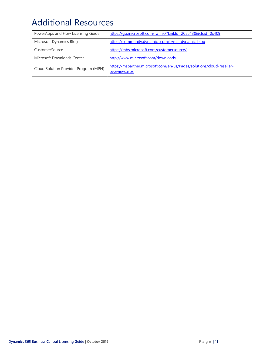## <span id="page-10-0"></span>Additional Resources

<span id="page-10-1"></span>

| PowerApps and Flow Licensing Guide    | https://go.microsoft.com/fwlink/?LinkId=2085130&clcid=0x409                            |
|---------------------------------------|----------------------------------------------------------------------------------------|
| Microsoft Dynamics Blog               | https://community.dynamics.com/b/msftdynamicsblog                                      |
| CustomerSource                        | https://mbs.microsoft.com/customersource/                                              |
| Microsoft Downloads Center            | http://www.microsoft.com/downloads                                                     |
| Cloud Solution Provider Program (MPN) | https://mspartner.microsoft.com/en/us/Pages/solutions/cloud-reseller-<br>overview.aspx |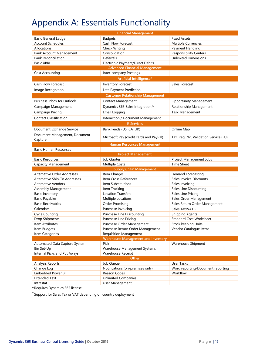## <span id="page-11-0"></span>Appendix A: Essentials Functionality

| <b>Financial Management</b>              |                                               |                                       |  |
|------------------------------------------|-----------------------------------------------|---------------------------------------|--|
| <b>Basic General Ledger</b>              | <b>Budgets</b>                                | <b>Fixed Assets</b>                   |  |
| <b>Account Schedules</b>                 | Cash Flow Forecast                            | Multiple Currencies                   |  |
| Allocations                              | <b>Check Writing</b>                          | Payment Handling                      |  |
| <b>Bank Account Management</b>           | Consolidation                                 | <b>Responsibility Centers</b>         |  |
| <b>Bank Reconciliation</b>               | Deferrals                                     | <b>Unlimited Dimensions</b>           |  |
| <b>Basic XBRL</b>                        | Electronic Payment/Direct Debits              |                                       |  |
|                                          | <b>Advanced Financial Management</b>          |                                       |  |
| Cost Accounting                          | Inter-company Postings                        |                                       |  |
|                                          | Artificial Intelligence*                      |                                       |  |
| <b>Cash Flow Forecast</b>                | Inventory Forecast                            | Sales Forecast                        |  |
| Image Recognition                        | Late Payment Prediction                       |                                       |  |
|                                          | <b>Customer Relationship Management</b>       |                                       |  |
| <b>Business Inbox for Outlook</b>        | <b>Contact Management</b>                     | <b>Opportunity Management</b>         |  |
| Campaign Management                      | Dynamics 365 Sales Integration^               | Relationship Management               |  |
| Campaign Pricing                         | Email Logging                                 | Task Management                       |  |
|                                          |                                               |                                       |  |
| <b>Contact Classification</b>            | Interaction / Document Management             |                                       |  |
|                                          | <b>E-Services</b>                             |                                       |  |
| Document Exchange Service                | Bank Feeds (US, CA, UK)                       | Online Map                            |  |
| Document Management, Document<br>Capture | Microsoft Pay (credit cards and PayPal)       | Tax. Reg. No. Validation Service (EU) |  |
|                                          | <b>Human Resources Management</b>             |                                       |  |
| <b>Basic Human Resources</b>             |                                               |                                       |  |
|                                          | <b>Project Management</b>                     |                                       |  |
| <b>Basic Resources</b>                   | Job Quotes                                    | Project Management Jobs               |  |
|                                          |                                               |                                       |  |
| Capacity Management                      | <b>Multiple Costs</b>                         | <b>Time Sheet</b>                     |  |
|                                          | <b>Supply Chain Management</b>                |                                       |  |
| <b>Alternative Order Addresses</b>       | Item Charges                                  | Demand Forecasting                    |  |
| Alternative Ship-To Addresses            | Item Cross References                         | Sales Invoice Discounts               |  |
| <b>Alternative Vendors</b>               | Item Substitutions                            | Sales Invoicing                       |  |
| Assembly Management                      | Item Tracking                                 | Sales Line Discounting                |  |
| <b>Basic Inventory</b>                   | <b>Location Transfers</b>                     | Sales Line Pricing                    |  |
| <b>Basic Payables</b>                    | Multiple Locations                            | Sales Order Management                |  |
| <b>Basic Receivables</b>                 | <b>Order Promising</b>                        | Sales Return Order Management         |  |
| Calendars                                | Purchase Invoicing                            | Sales Tax/VAT~                        |  |
| <b>Cycle Counting</b>                    | Purchase Line Discounting                     | <b>Shipping Agents</b>                |  |
| Drop Shipments                           | Purchase Line Pricing                         | <b>Standard Cost Worksheet</b>        |  |
| Item Attributes                          | Purchase Order Management                     | Stock keeping Units                   |  |
| Item Budgets                             | Purchase Return Order Management              | Vendor Catalogue Items                |  |
| Item Categories                          | <b>Requisition Management</b>                 |                                       |  |
|                                          | <b>Warehouse Management and Inventory</b>     |                                       |  |
| Automated Data Capture System            | Pick                                          | Warehouse Shipment                    |  |
| Bin Set-Up                               | Warehouse Management Systems                  |                                       |  |
| Internal Picks and Put Aways             | Warehouse Receipt                             |                                       |  |
|                                          | Other                                         |                                       |  |
| Analysis Reports                         | Job Queue                                     | User Tasks                            |  |
| Change Log                               | Notifications (on-premises only)              | Word reporting/Document reporting     |  |
| Embedded Power BI                        | Reason Codes                                  | Workflow                              |  |
| <b>Extended Text</b><br>Intrastat        | <b>Unlimited Companies</b><br>User Management |                                       |  |

^Requires Dynamics 365 license

~ Support for Sales Tax or VAT depending on country deployment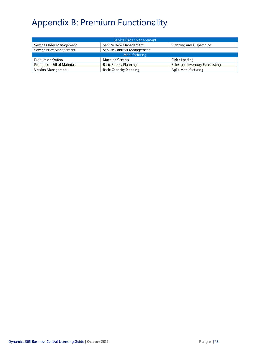# <span id="page-12-0"></span>Appendix B: Premium Functionality

| Service Order Management                                |                                |                                 |  |
|---------------------------------------------------------|--------------------------------|---------------------------------|--|
| Service Order Management                                | Service Item Management        | Planning and Dispatching        |  |
| Service Contract Management<br>Service Price Management |                                |                                 |  |
| Manufacturing                                           |                                |                                 |  |
| <b>Production Orders</b>                                | <b>Machine Centers</b>         | Finite Loading                  |  |
| <b>Production Bill of Materials</b>                     | <b>Basic Supply Planning</b>   | Sales and Inventory Forecasting |  |
| Version Management                                      | <b>Basic Capacity Planning</b> | Agile Manufacturing             |  |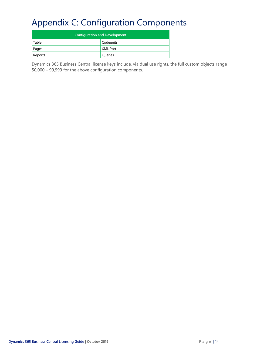## <span id="page-13-0"></span>Appendix C: Configuration Components

| <b>Configuration and Development</b> |                 |  |
|--------------------------------------|-----------------|--|
| Table                                | Codeunits       |  |
| Pages                                | <b>XML Port</b> |  |
| Reports                              | Queries         |  |

Dynamics 365 Business Central license keys include, via dual use rights, the full custom objects range 50,000 – 99,999 for the above configuration components.